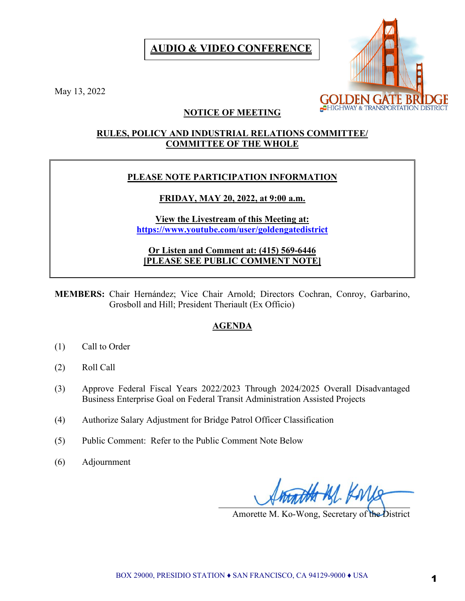# **AUDIO & VIDEO CONFERENCE**



May 13, 2022

## **NOTICE OF MEETING**

### **RULES, POLICY AND INDUSTRIAL RELATIONS COMMITTEE/ COMMITTEE OF THE WHOLE**

### **PLEASE NOTE PARTICIPATION INFORMATION**

## **FRIDAY, MAY 20, 2022, at 9:00 a.m.**

**View the Livestream of this Meeting at: <https://www.youtube.com/user/goldengatedistrict>**

**Or Listen and Comment at: (415) 569-6446 [PLEASE SEE PUBLIC COMMENT NOTE]**

**MEMBERS:** Chair Hernández; Vice Chair Arnold; Directors Cochran, Conroy, Garbarino, Grosboll and Hill; President Theriault (Ex Officio)

# **AGENDA**

- (1) Call to Order
- (2) Roll Call
- (3) Approve Federal Fiscal Years 2022/2023 Through 2024/2025 Overall Disadvantaged Business Enterprise Goal on Federal Transit Administration Assisted Projects

 $\overline{a}$ 

- (4) Authorize Salary Adjustment for Bridge Patrol Officer Classification
- (5) Public Comment: Refer to the Public Comment Note Below
- (6) Adjournment

Amorette M. Ko-Wong, Secretary of the District